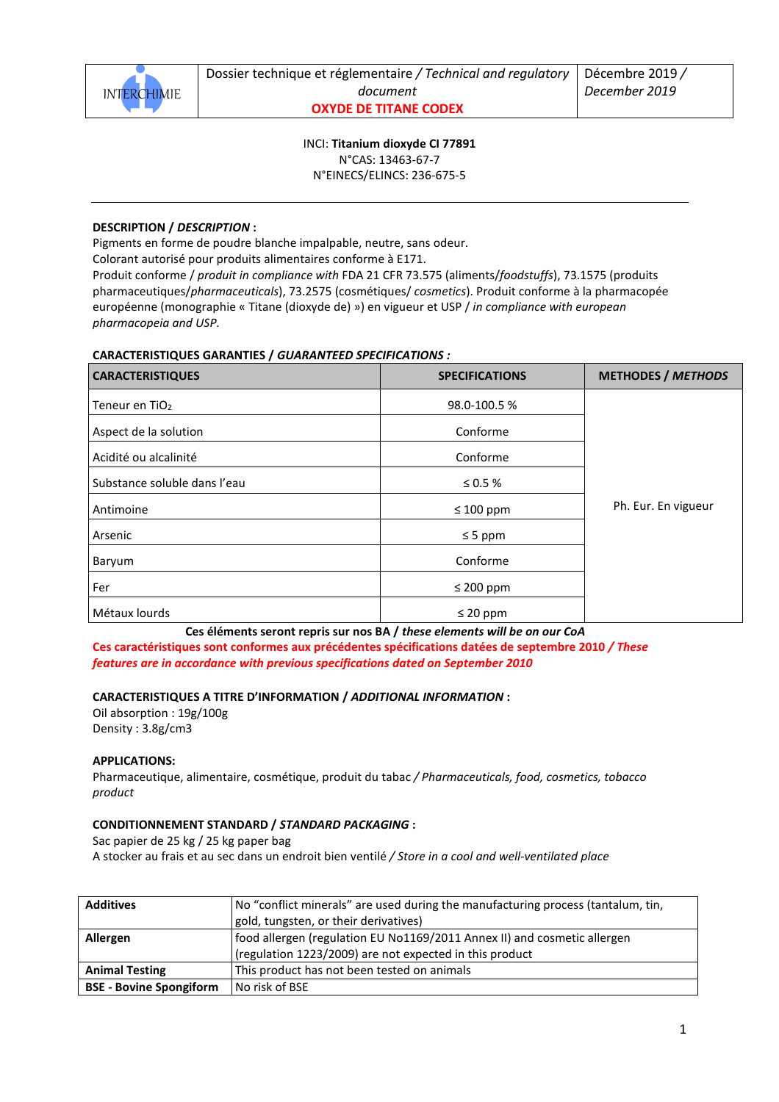

INCI: **Titanium dioxyde CI 77891** N°CAS: 13463-67-7 N°EINECS/ELINCS: 236-675-5

# **DESCRIPTION /** *DESCRIPTION* **:**

Pigments en forme de poudre blanche impalpable, neutre, sans odeur.

Colorant autorisé pour produits alimentaires conforme à E171.

Produit conforme / *produit in compliance with* FDA 21 CFR 73.575 (aliments/*foodstuffs*), 73.1575 (produits pharmaceutiques/*pharmaceuticals*), 73.2575 (cosmétiques/ *cosmetics*). Produit conforme à la pharmacopée européenne (monographie « Titane (dioxyde de) ») en vigueur et USP / *in compliance with european pharmacopeia and USP.* 

# **CARACTERISTIQUES GARANTIES /** *GUARANTEED SPECIFICATIONS :*

| <b>CARACTERISTIQUES</b>      | <b>SPECIFICATIONS</b> | <b>METHODES / METHODS</b> |
|------------------------------|-----------------------|---------------------------|
| Teneur en TiO <sub>2</sub>   | 98.0-100.5%           |                           |
| Aspect de la solution        | Conforme              |                           |
| Acidité ou alcalinité        | Conforme              |                           |
| Substance soluble dans l'eau | $\leq 0.5$ %          |                           |
| Antimoine                    | $\leq 100$ ppm        | Ph. Eur. En vigueur       |
| Arsenic                      | $\leq$ 5 ppm          |                           |
| Baryum                       | Conforme              |                           |
| Fer                          | $\leq 200$ ppm        |                           |
| Métaux lourds                | $\leq 20$ ppm         |                           |

**Ces éléments seront repris sur nos BA /** *these elements will be on our CoA* 

**Ces caractéristiques sont conformes aux précédentes spécifications datées de septembre 2010** */ These features are in accordance with previous specifications dated on September 2010* 

### **CARACTERISTIQUES A TITRE D'INFORMATION /** *ADDITIONAL INFORMATION* **:**

Oil absorption : 19g/100g Density : 3.8g/cm3

# **APPLICATIONS:**

Pharmaceutique, alimentaire, cosmétique, produit du tabac */ Pharmaceuticals, food, cosmetics, tobacco product*

# **CONDITIONNEMENT STANDARD /** *STANDARD PACKAGING* **:**

Sac papier de 25 kg / 25 kg paper bag

A stocker au frais et au sec dans un endroit bien ventilé */ Store in a cool and well-ventilated place* 

| <b>Additives</b>               | No "conflict minerals" are used during the manufacturing process (tantalum, tin, |  |
|--------------------------------|----------------------------------------------------------------------------------|--|
|                                | gold, tungsten, or their derivatives)                                            |  |
| Allergen                       | food allergen (regulation EU No1169/2011 Annex II) and cosmetic allergen         |  |
|                                | (regulation 1223/2009) are not expected in this product                          |  |
| <b>Animal Testing</b>          | This product has not been tested on animals                                      |  |
| <b>BSE - Bovine Spongiform</b> | No risk of BSE                                                                   |  |